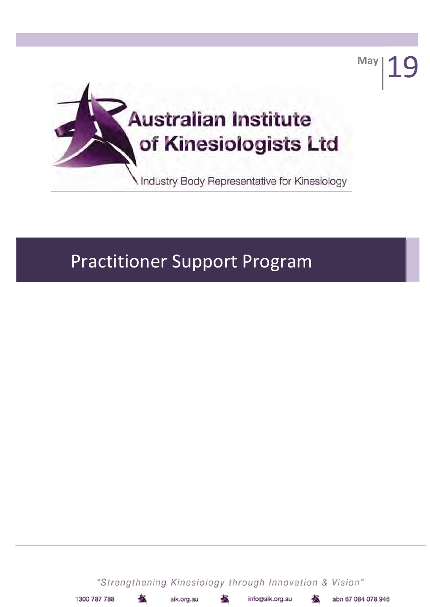

# **Practitioner Support Program**

"Strengthening Kinesiology through Innovation & Vision"

aik.org.au

info@aik.org.au

abn 67 084 078 946

May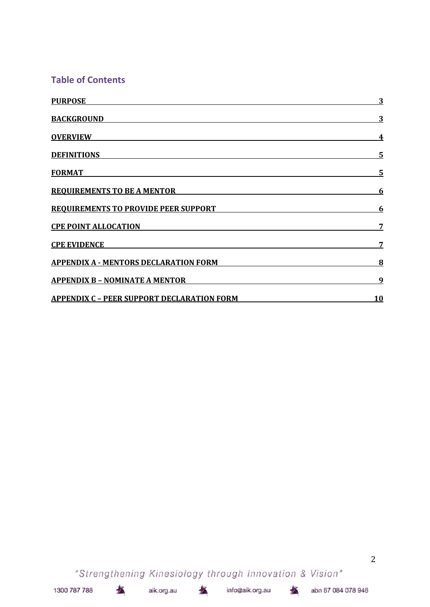# **Table of Contents**

| <b>PURPOSE</b>                                    | 3          |
|---------------------------------------------------|------------|
| <b>BACKGROUND</b>                                 | 3          |
| <b>OVERVIEW</b>                                   | 4          |
| <b>DEFINITIONS</b>                                | 5          |
| <b>FORMAT</b>                                     | 5          |
| <b>REQUIREMENTS TO BE A MENTOR</b>                | <u>6</u>   |
| <b>REQUIREMENTS TO PROVIDE PEER SUPPORT</b>       | 6          |
| <b>CPE POINT ALLOCATION</b>                       |            |
| <b>CPE EVIDENCE</b>                               | 7          |
| <b>APPENDIX A - MENTORS DECLARATION FORM</b>      | 8          |
| <b>APPENDIX B - NOMINATE A MENTOR</b>             | 9          |
| <b>APPENDIX C - PEER SUPPORT DECLARATION FORM</b> | <u> 10</u> |

"Strengthening Kinesiology through Innovation & Vision"

aik.org.au

츠

拯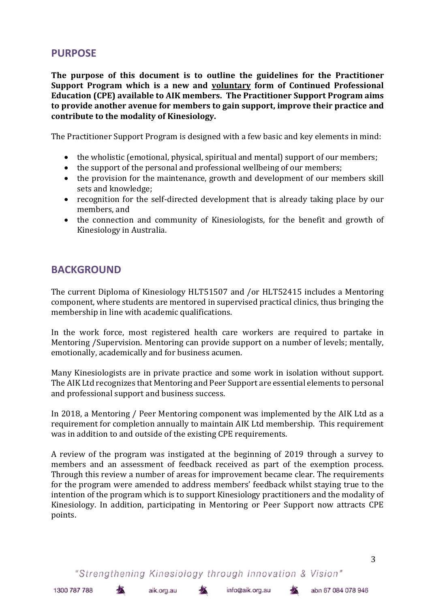# **PURPOSE**

**The purpose of this document is to outline the guidelines for the Practitioner Support Program which is a new and voluntary form of Continued Professional Education (CPE) available to AIK members. The Practitioner Support Program aims to provide another avenue for members to gain support, improve their practice and contribute to the modality of Kinesiology.**

The Practitioner Support Program is designed with a few basic and key elements in mind:

- the wholistic (emotional, physical, spiritual and mental) support of our members;
- the support of the personal and professional wellbeing of our members;
- the provision for the maintenance, growth and development of our members skill sets and knowledge;
- recognition for the self-directed development that is already taking place by our members, and
- the connection and community of Kinesiologists, for the benefit and growth of Kinesiology in Australia.

### **BACKGROUND**

The current Diploma of Kinesiology HLT51507 and /or HLT52415 includes a Mentoring component, where students are mentored in supervised practical clinics, thus bringing the membership in line with academic qualifications.

In the work force, most registered health care workers are required to partake in Mentoring /Supervision. Mentoring can provide support on a number of levels; mentally, emotionally, academically and for business acumen.

Many Kinesiologists are in private practice and some work in isolation without support. The AIK Ltd recognizes that Mentoring and Peer Support are essential elements to personal and professional support and business success.

In 2018, a Mentoring / Peer Mentoring component was implemented by the AIK Ltd as a requirement for completion annually to maintain AIK Ltd membership. This requirement was in addition to and outside of the existing CPE requirements.

A review of the program was instigated at the beginning of 2019 through a survey to members and an assessment of feedback received as part of the exemption process. Through this review a number of areas for improvement became clear. The requirements for the program were amended to address members' feedback whilst staying true to the intention of the program which is to support Kinesiology practitioners and the modality of Kinesiology. In addition, participating in Mentoring or Peer Support now attracts CPE points.

"Strengthening Kinesiology through Innovation & Vision"

ZX.

aik.org.au

本

info@aik.org.au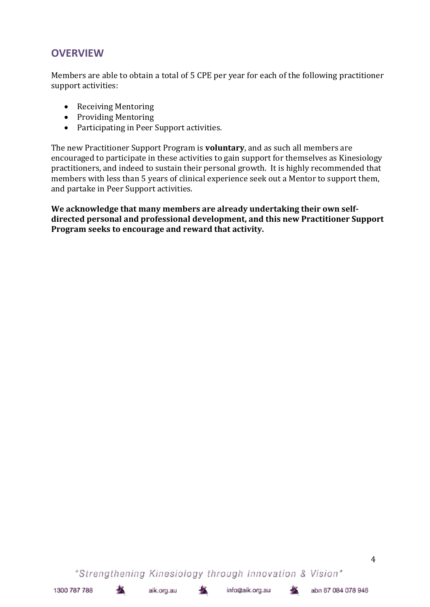# **OVERVIEW**

Members are able to obtain a total of 5 CPE per year for each of the following practitioner support activities:

- Receiving Mentoring
- Providing Mentoring
- Participating in Peer Support activities.

The new Practitioner Support Program is **voluntary**, and as such all members are encouraged to participate in these activities to gain support for themselves as Kinesiology practitioners, and indeed to sustain their personal growth. It is highly recommended that members with less than 5 years of clinical experience seek out a Mentor to support them, and partake in Peer Support activities.

**We acknowledge that many members are already undertaking their own selfdirected personal and professional development, and this new Practitioner Support Program seeks to encourage and reward that activity.**

"Strengthening Kinesiology through Innovation & Vision"

术

木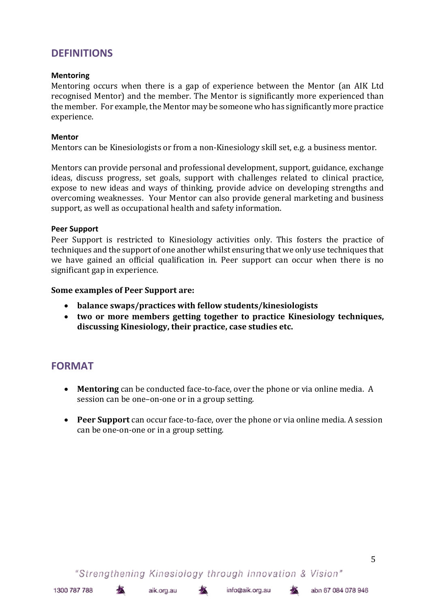# **DEFINITIONS**

#### **Mentoring**

Mentoring occurs when there is a gap of experience between the Mentor (an AIK Ltd recognised Mentor) and the member. The Mentor is significantly more experienced than the member. For example, the Mentor may be someone who has significantly more practice experience.

#### **Mentor**

Mentors can be Kinesiologists or from a non-Kinesiology skill set, e.g. a business mentor.

Mentors can provide personal and professional development, support, guidance, exchange ideas, discuss progress, set goals, support with challenges related to clinical practice, expose to new ideas and ways of thinking, provide advice on developing strengths and overcoming weaknesses. Your Mentor can also provide general marketing and business support, as well as occupational health and safety information.

#### **Peer Support**

Peer Support is restricted to Kinesiology activities only. This fosters the practice of techniques and the support of one another whilst ensuring that we only use techniques that we have gained an official qualification in. Peer support can occur when there is no significant gap in experience.

#### **Some examples of Peer Support are:**

- **balance swaps/practices with fellow students/kinesiologists**
- **two or more members getting together to practice Kinesiology techniques, discussing Kinesiology, their practice, case studies etc.**

# **FORMAT**

- **Mentoring** can be conducted face-to-face, over the phone or via online media. A session can be one–on-one or in a group setting.
- **Peer Support** can occur face-to-face, over the phone or via online media. A session can be one-on-one or in a group setting.

"Strengthening Kinesiology through Innovation & Vision"

本

aik.org.au

本

```
info@aik.org.au
```
木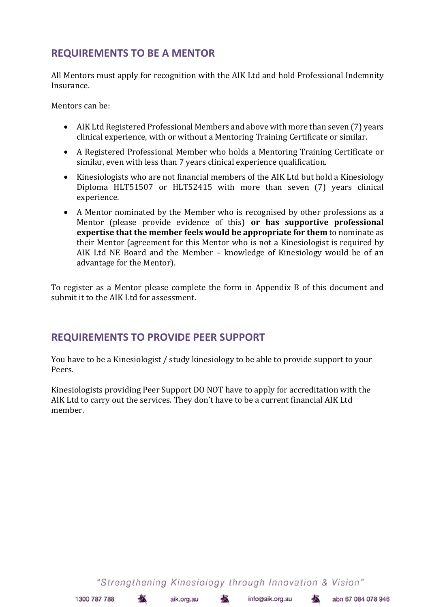# **REQUIREMENTS TO BE A MENTOR**

All Mentors must apply for recognition with the AIK Ltd and hold Professional Indemnity Insurance.

Mentors can be:

- AIK Ltd Registered Professional Members and above with more than seven (7) years clinical experience, with or without a Mentoring Training Certificate or similar.
- A Registered Professional Member who holds a Mentoring Training Certificate or similar, even with less than 7 years clinical experience qualification.
- Kinesiologists who are not financial members of the AIK Ltd but hold a Kinesiology Diploma HLT51507 or HLT52415 with more than seven (7) years clinical experience.
- A Mentor nominated by the Member who is recognised by other professions as a Mentor (please provide evidence of this) **or has supportive professional expertise that the member feels would be appropriate for them** to nominate as their Mentor (agreement for this Mentor who is not a Kinesiologist is required by AIK Ltd NE Board and the Member – knowledge of Kinesiology would be of an advantage for the Mentor).

To register as a Mentor please complete the form in Appendix B of this document and submit it to the AIK Ltd for assessment.

# **REQUIREMENTS TO PROVIDE PEER SUPPORT**

You have to be a Kinesiologist / study kinesiology to be able to provide support to your Peers.

Kinesiologists providing Peer Support DO NOT have to apply for accreditation with the AIK Ltd to carry out the services. They don't have to be a current financial AIK Ltd member.

"Strengthening Kinesiology through Innovation & Vision"

- 木

本

```
info@aik.org.au
```
abn 67 084 078 946

 $\mathbf{K}$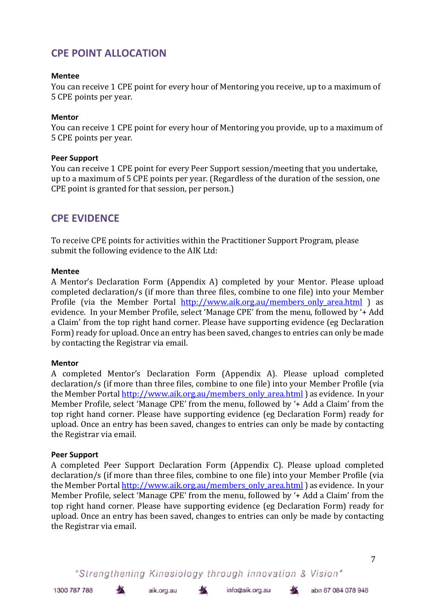# **CPE POINT ALLOCATION**

#### **Mentee**

You can receive 1 CPE point for every hour of Mentoring you receive, up to a maximum of 5 CPE points per year.

#### **Mentor**

You can receive 1 CPE point for every hour of Mentoring you provide, up to a maximum of 5 CPE points per year.

#### **Peer Support**

You can receive 1 CPE point for every Peer Support session/meeting that you undertake, up to a maximum of 5 CPE points per year. (Regardless of the duration of the session, one CPE point is granted for that session, per person.)

# **CPE EVIDENCE**

To receive CPE points for activities within the Practitioner Support Program, please submit the following evidence to the AIK Ltd:

#### **Mentee**

A Mentor's Declaration Form (Appendix A) completed by your Mentor. Please upload completed declaration/s (if more than three files, combine to one file) into your Member Profile (via the Member Portal http://www.aik.org.au/members only area.html ) as evidence. In your Member Profile, select 'Manage CPE' from the menu, followed by '+ Add a Claim' from the top right hand corner. Please have supporting evidence (eg Declaration Form) ready for upload. Once an entry has been saved, changes to entries can only be made by contacting the Registrar via email.

#### **Mentor**

A completed Mentor's Declaration Form (Appendix A). Please upload completed declaration/s (if more than three files, combine to one file) into your Member Profile (via the Member Portal http://www.aik.org.au/members\_only\_area.html ) as evidence. In your Member Profile, select 'Manage CPE' from the menu, followed by '+ Add a Claim' from the top right hand corner. Please have supporting evidence (eg Declaration Form) ready for upload. Once an entry has been saved, changes to entries can only be made by contacting the Registrar via email.

#### **Peer Support**

A completed Peer Support Declaration Form (Appendix C). Please upload completed declaration/s (if more than three files, combine to one file) into your Member Profile (via the Member Portal http://www.aik.org.au/members\_only\_area.html) as evidence. In your Member Profile, select 'Manage CPE' from the menu, followed by '+ Add a Claim' from the top right hand corner. Please have supporting evidence (eg Declaration Form) ready for upload. Once an entry has been saved, changes to entries can only be made by contacting the Registrar via email.

"Strengthening Kinesiology through Innovation & Vision"

巷

aik.org.au

本

```
info@aik.org.au
```
÷.

7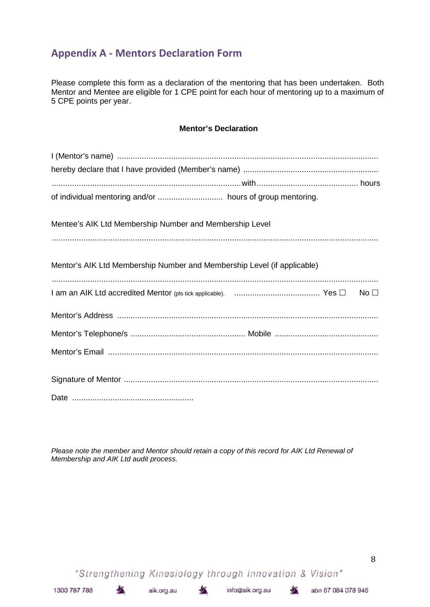# **Appendix A - Mentors Declaration Form**

Please complete this form as a declaration of the mentoring that has been undertaken. Both Mentor and Mentee are eligible for 1 CPE point for each hour of mentoring up to a maximum of 5 CPE points per year.

#### **Mentor's Declaration**

| Mentee's AIK Ltd Membership Number and Membership Level                 |
|-------------------------------------------------------------------------|
|                                                                         |
| Mentor's AIK Ltd Membership Number and Membership Level (if applicable) |
|                                                                         |
|                                                                         |
|                                                                         |
|                                                                         |
|                                                                         |
|                                                                         |
|                                                                         |
|                                                                         |
|                                                                         |

*Please note the member and Mentor should retain a copy of this record for AIK Ltd Renewal of Membership and AIK Ltd audit process.*

"Strengthening Kinesiology through Innovation & Vision"

坯

aik.org.au

螯

本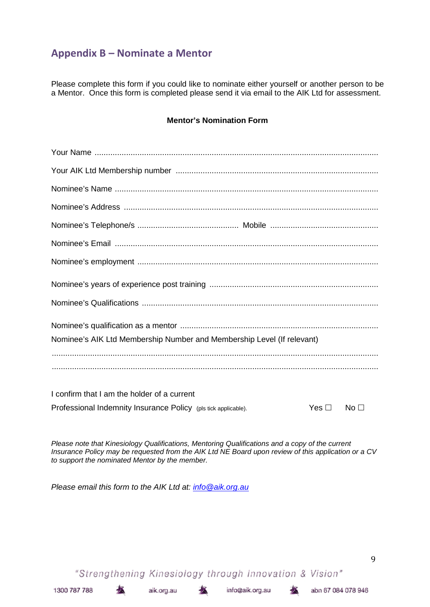# **Appendix B – Nominate a Mentor**

Please complete this form if you could like to nominate either yourself or another person to be a Mentor. Once this form is completed please send it via email to the AIK Ltd for assessment.

#### **Mentor's Nomination Form**

| Nominee's AIK Ltd Membership Number and Membership Level (If relevant) |            |                 |
|------------------------------------------------------------------------|------------|-----------------|
|                                                                        |            |                 |
|                                                                        |            |                 |
| I confirm that I am the holder of a current                            |            |                 |
| Professional Indemnity Insurance Policy (pls tick applicable).         | Yes $\Box$ | No <sub>1</sub> |

*Please note that Kinesiology Qualifications, Mentoring Qualifications and a copy of the current Insurance Policy may be requested from the AIK Ltd NE Board upon review of this application or a CV to support the nominated Mentor by the member.*

*Please email this form to the AIK Ltd at: info@aik.org.au*

"Strengthening Kinesiology through Innovation & Vision"

坯

aik.org.au

术

9